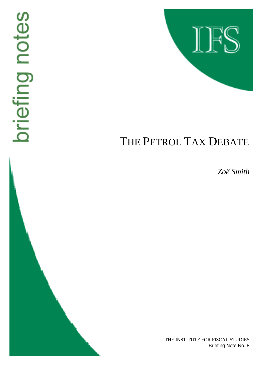# briefing notes



# THE PETROL TAX DEBATE

*Zoë Smith*

THE INSTITUTE FOR FISCAL STUDIES Briefing Note No. 8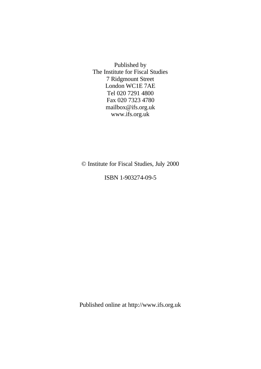Published by The Institute for Fiscal Studies 7 Ridgmount Street London WC1E 7AE Tel 020 7291 4800 Fax 020 7323 4780 mailbox@ifs.org.uk www.ifs.org.uk

© Institute for Fiscal Studies, July 2000

ISBN 1-903274-09-5

Published online at http://www.ifs.org.uk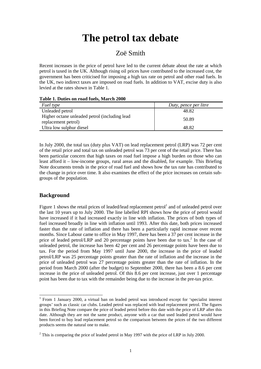## **The petrol tax debate**

### Zoë Smith

Recent increases in the price of petrol have led to the current debate about the rate at which petrol is taxed in the UK. Although rising oil prices have contributed to the increased cost, the government has been criticised for imposing a high tax rate on petrol and other road fuels. In the UK, two indirect taxes are imposed on road fuels. In addition to VAT, excise duty is also levied at the rates shown in Table 1.

| Table 1. Duttes on Yogu Tuels, March 2000                             |                       |
|-----------------------------------------------------------------------|-----------------------|
| Fuel type                                                             | Duty, pence per litre |
| Unleaded petrol                                                       | 48.82                 |
| Higher octane unleaded petrol (including lead)<br>replacement petrol) | 50.89                 |
| Ultra low sulphur diesel                                              | 48.82                 |

### **Table 1. Duties on road fuels, March 2000**

In July 2000, the total tax (duty plus VAT) on lead replacement petrol (LRP) was 72 per cent of the retail price and total tax on unleaded petrol was 73 per cent of the retail price. There has been particular concern that high taxes on road fuel impose a high burden on those who can least afford it – low-income groups, rural areas and the disabled, for example. This Briefing Note documents trends in the price of road fuel and shows how the tax rate has contributed to the change in price over time. It also examines the effect of the price increases on certain subgroups of the population.

### **Background**

Figure 1 shows the retail prices of leaded/lead replacement petrol<sup>1</sup> and of unleaded petrol over the last 10 years up to July 2000. The line labelled RPI shows how the price of petrol would have increased if it had increased exactly in line with inflation. The prices of both types of fuel increased broadly in line with inflation until 1993. After this date, both prices increased faster than the rate of inflation and there has been a particularly rapid increase over recent months. Since Labour came to office in May 1997, there has been a 37 per cent increase in the price of leaded petrol/LRP and 20 percentage points have been due to tax.<sup>2</sup> In the case of unleaded petrol, the increase has been 42 per cent and 26 percentage points have been due to tax. For the period from May 1997 until June 2000, the increase in the price of leaded petrol/LRP was 25 percentage points greater than the rate of inflation and the increase in the price of unleaded petrol was 27 percentage points greater than the rate of inflation. In the period from March 2000 (after the budget) to September 2000, there has been a 8.6 per cent increase in the price of unleaded petrol. Of this 8.6 per cent increase, just over 1 percentage point has been due to tax with the remainder being due to the increase in the pre-tax price.

l 1 From 1 January 2000, a virtual ban on leaded petrol was introduced except for 'specialist interest groups' such as classic car clubs. Leaded petrol was replaced with lead replacement petrol. The figures in this Briefing Note compare the price of leaded petrol before this date with the price of LRP after this date. Although they are not the same product, anyone with a car that used leaded petrol would have been forced to buy lead replacement petrol so the comparison between the prices of the two different products seems the natural one to make.

 $2$  This is comparing the price of leaded petrol in May 1997 with the price of LRP in July 2000.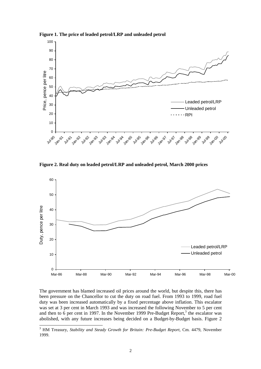

**Figure 1. The price of leaded petrol/LRP and unleaded petrol**

**Figure 2. Real duty on leaded petrol/LRP and unleaded petrol, March 2000 prices**



The government has blamed increased oil prices around the world, but despite this, there has been pressure on the Chancellor to cut the duty on road fuel. From 1993 to 1999, road fuel duty was been increased automatically by a fixed percentage above inflation. This escalator was set at 3 per cent in March 1993 and was increased the following November to 5 per cent and then to  $\tilde{6}$  per cent in 1997. In the November 1999 Pre-Budget Report,<sup>3</sup> the escalator was abolished, with any future increases being decided on a Budget-by-Budget basis. Figure 2

<sup>&</sup>lt;sup>3</sup> HM Treasury, *Stability and Steady Growth for Britain: Pre-Budget Report*, Cm. 4479, November 1999.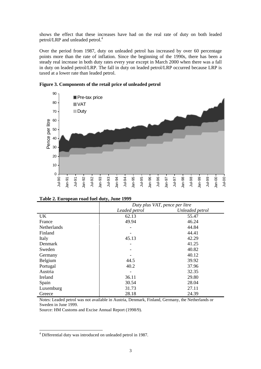shows the effect that these increases have had on the real rate of duty on both leaded petrol/LRP and unleaded petrol.<sup>4</sup>

Over the period from 1987, duty on unleaded petrol has increased by over 60 percentage points more than the rate of inflation. Since the beginning of the 1990s, there has been a steady real increase in both duty rates every year except in March 2000 when there was a fall in duty on leaded petrol/LRP. The fall in duty on leaded petrol/LRP occurred because LRP is taxed at a lower rate than leaded petrol.



| Figure 3. Components of the retail price of unleaded petrol |
|-------------------------------------------------------------|
|-------------------------------------------------------------|

|             |               | Duty plus VAT, pence per litre |
|-------------|---------------|--------------------------------|
|             | Leaded petrol | Unleaded petrol                |
| UK          | 62.13         | 55.47                          |
| France      | 49.94         | 46.24                          |
| Netherlands |               | 44.84                          |
| Finland     |               | 44.41                          |
| Italy       | 45.13         | 42.29                          |
| Denmark     |               | 41.25                          |
| Sweden      |               | 40.82                          |
| Germany     |               | 40.12                          |
| Belgium     | 44.5          | 39.92                          |
| Portugal    | 40.2          | 37.96                          |
| Austria     |               | 32.35                          |
| Ireland     | 36.11         | 29.80                          |
| Spain       | 30.54         | 28.04                          |
| Luxemburg   | 31.73         | 27.11                          |
| Greece      | 28.18         | 24.39                          |

| Table 2. European road fuel duty, June 1999 |
|---------------------------------------------|
|---------------------------------------------|

Notes: Leaded petrol was not available in Austria, Denmark, Finland, Germany, the Netherlands or Sweden in June 1999.

Source: HM Customs and Excise Annual Report (1998/9).

l

<sup>&</sup>lt;sup>4</sup> Differential duty was introduced on unleaded petrol in 1987.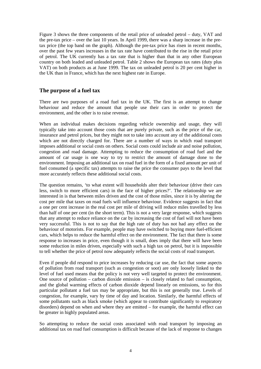Figure 3 shows the three components of the retail price of unleaded petrol – duty, VAT and the pre-tax price – over the last 10 years. In April 1999, there was a sharp increase in the pretax price (the top band on the graph). Although the pre-tax price has risen in recent months, over the past few years increases in the tax rate have contributed to the rise in the retail price of petrol. The UK currently has a tax rate that is higher than that in any other European country on both leaded and unleaded petrol. Table 2 shows the European tax rates (duty plus VAT) on both products as at June 1999. The tax on unleaded petrol is 20 per cent higher in the UK than in France, which has the next highest rate in Europe.

### **The purpose of a fuel tax**

There are two purposes of a road fuel tax in the UK. The first is an attempt to change behaviour and reduce the amount that people use their cars in order to protect the environment, and the other is to raise revenue.

When an individual makes decisions regarding vehicle ownership and usage, they will typically take into account those costs that are purely private, such as the price of the car, insurance and petrol prices, but they might not to take into account any of the additional costs which are not directly charged for. There are a number of ways in which road transport imposes additional or social costs on others. Social costs could include air and noise pollution, congestion and road damage. Attempting to reduce the consumption of road fuel and the amount of car usage is one way to try to restrict the amount of damage done to the environment. Imposing an additional tax on road fuel in the form of a fixed amount per unit of fuel consumed (a specific tax) attempts to raise the price the consumer pays to the level that more accurately reflects these additional social costs.

The question remains, 'to what extent will households alter their behaviour (drive their cars less, switch to more efficient cars) in the face of higher prices?'. The relationship we are interested in is that between miles driven and the cost of those miles, since it is by altering the cost per mile that taxes on road fuels will influence behaviour. Evidence suggests in fact that a one per cent increase in the real cost per mile of driving will reduce miles travelled by less than half of one per cent (in the short term). This is not a very large response, which suggests that any attempt to reduce reliance on the car by increasing the cost of fuel will not have been very successful. This is not to say that the high rate of duty has not had any effect on the behaviour of motorists. For example, people may have switched to buying more fuel-efficient cars, which helps to reduce the harmful effect on the environment. The fact that there is some response to increases in price, even though it is small, does imply that there will have been some reduction in miles driven, especially with such a high tax on petrol, but it is impossible to tell whether the price of petrol now adequately reflects the social costs of road transport.

Even if people did respond to price increases by reducing car use, the fact that some aspects of pollution from road transport (such as congestion or soot) are only loosely linked to the level of fuel used means that the policy is not very well targeted to protect the environment. One source of pollution – carbon dioxide emission – is closely related to fuel consumption, and the global warming effects of carbon dioxide depend linearly on emissions, so for this particular pollutant a fuel tax may be appropriate, but this is not generally true. Levels of congestion, for example, vary by time of day and location. Similarly, the harmful effects of some pollutants such as black smoke (which appear to contribute significantly to respiratory disorders) depend on when and where they are emitted – for example, the harmful effect can be greater in highly populated areas.

So attempting to reduce the social costs associated with road transport by imposing an additional tax on road fuel consumption is difficult because of the lack of response to changes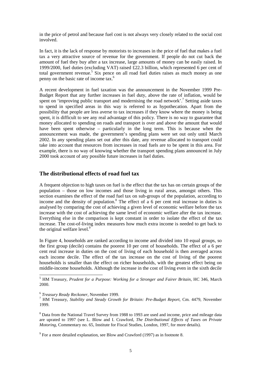in the price of petrol and because fuel cost is not always very closely related to the social cost involved.

In fact, it is the lack of response by motorists to increases in the price of fuel that makes a fuel tax a very attractive source of revenue for the government. If people do not cut back the amount of fuel they buy after a tax increase, large amounts of money can be easily raised. In 1999/2000, fuel duties (excluding VAT) raised £22.3 billion, which represented 6 per cent of total government revenue.<sup>5</sup> Six pence on all road fuel duties raises as much money as one penny on the basic rate of income tax.6

A recent development in fuel taxation was the announcement in the November 1999 Pre-Budget Report that any further increases in fuel duty, above the rate of inflation, would be spent on 'improving public transport and modernising the road network'.<sup>7</sup> Setting aside taxes to spend in specified areas in this way is referred to as hypothecation. Apart from the possibility that people are less averse to tax increases if they know where the money is being spent, it is difficult to see any real advantage of this policy. There is no way to guarantee that money allocated to spending on roads and transport is over and above the amount that would have been spent otherwise – particularly in the long term. This is because when the announcement was made, the government's spending plans were set out only until March 2002. In any spending plans set out after this date, any revenue allocated to transport could take into account that resources from increases in road fuels are to be spent in this area. For example, there is no way of knowing whether the transport spending plans announced in July 2000 took account of any possible future increases in fuel duties.

### **The distributional effects of road fuel tax**

A frequent objection to high taxes on fuel is the effect that the tax has on certain groups of the population – those on low incomes and those living in rural areas, amongst others. This section examines the effect of the road fuel tax on sub-groups of the population, according to income and the density of population. $8$  The effect of a 6 per cent real increase in duties is analysed by comparing the cost of achieving a given level of economic welfare before the tax increase with the cost of achieving the same level of economic welfare after the tax increase. Everything else in the comparison is kept constant in order to isolate the effect of the tax increase. The cost-of-living index measures how much extra income is needed to get back to the original welfare level.<sup>9</sup>

In Figure 4, households are ranked according to income and divided into 10 equal groups, so the first group (decile) contains the poorest 10 per cent of households. The effect of a 6 per cent real increase in duties on the cost of living of each household is then averaged across each income decile. The effect of the tax increase on the cost of living of the poorest households is smaller than the effect on richer households, with the greatest effect being on middle-income households. Although the increase in the cost of living even in the sixth decile

l

<sup>5</sup> HM Treasury, *Prudent for a Purpose: Working for a Stronger and Fairer Britain*, HC 346, March 2000.

<sup>6</sup> *Treasury Ready Reckoner*, November 1999. <sup>7</sup>

HM Treasury, *Stability and Steady Growth for Britain: Pre-Budget Report*, Cm. 4479, November 1999.

<sup>&</sup>lt;sup>8</sup> Data from the National Travel Survey from 1988 to 1993 are used and income, price and mileage data are uprated to 1997 (see L. Blow and I. Crawford, *The Distributional Effects of Taxes on Private Motoring*, Commentary no. 65, Institute for Fiscal Studies, London, 1997, for more details).

 $9^9$  For a more detailed explanation, see Blow and Crawford (1997) as in footnote 8.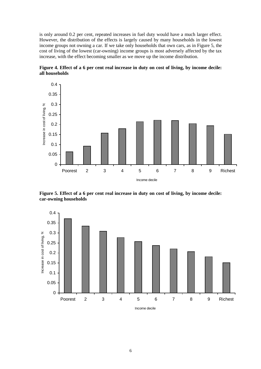is only around 0.2 per cent, repeated increases in fuel duty would have a much larger effect. However, the distribution of the effects is largely caused by many households in the lowest income groups not owning a car. If we take only households that own cars, as in Figure 5, the cost of living of the lowest (car-owning) income groups is most adversely affected by the tax increase, with the effect becoming smaller as we move up the income distribution.



**Figure 4. Effect of a 6 per cent real increase in duty on cost of living, by income decile: all households**

**Figure 5. Effect of a 6 per cent real increase in duty on cost of living, by income decile: car-owning households**

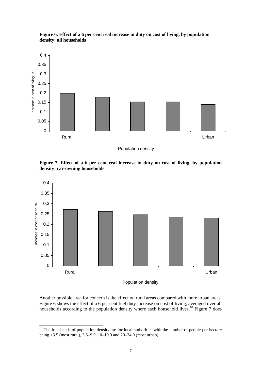

**Figure 6. Effect of a 6 per cent real increase in duty on cost of living, by population density: all households**

Population density

**Figure 7. Effect of a 6 per cent real increase in duty on cost of living, by population density: car-owning households**



Population density

Another possible area for concern is the effect on rural areas compared with more urban areas. Figure 6 shows the effect of a 6 per cent fuel duty increase on cost of living, averaged over all households according to the population density where each household lives.<sup>10</sup> Figure 7 does

l

 $10$  The four bands of population density are for local authorities with the number of people per hectare being <3.5 (most rural), 3.5–9.9, 10–19.9 and 20–34.9 (most urban).